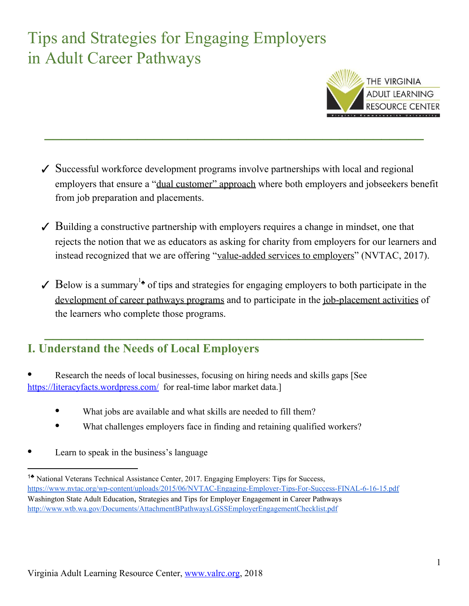# Tips and Strategies for Engaging Employers in Adult Career Pathways



 $\checkmark$  Successful workforce development programs involve partnerships with local and regional employers that ensure a "<u>dual customer" approach</u> where both employers and jobseekers benefit from job preparation and placements.

**\_\_\_\_\_\_\_\_\_\_\_\_\_\_\_\_\_\_\_\_\_\_\_\_\_\_\_\_\_\_\_\_\_\_\_\_\_\_\_\_\_\_\_\_\_**

- ✓ Building a constructive partnership with employers requires a change in mindset, one that rejects the notion that we as educators as asking for charity from employers for our learners and instead recognized that we are offering "value-added services to employers" (NVTAC, 2017).
- Below is a summary  $\rightarrow$  of tips and strategies for engaging employers to both participate in the development of career pathways programs and to participate in the job-placement activities of the learners who complete those programs.

**\_\_\_\_\_\_\_\_\_\_\_\_\_\_\_\_\_\_\_\_\_\_\_\_\_\_\_\_\_\_\_\_\_\_\_\_\_\_\_\_\_\_\_\_\_**

## **I. Understand the Needs of Local Employers**

**•** Research the needs of local businesses, focusing on hiring needs and skills gaps [See <https://literacyfacts.wordpress.com/> for real-time labor market data.]

- **•** What jobs are available and what skills are needed to fill them?
- **•** What challenges employers face in finding and retaining qualified workers?
- **•** Learn to speak in the business's language

<sup>1♣</sup> National Veterans Technical Assistance Center, 2017. Engaging Employers: Tips for Success, <https://www.nvtac.org/wp-content/uploads/2015/06/NVTAC-Engaging-Employer-Tips-For-Success-FINAL-6-16-15.pdf> Washington State Adult Education, Strategies and Tips for Employer Engagement in Career Pathways <http://www.wtb.wa.gov/Documents/AttachmentBPathwaysLGSSEmployerEngagementChecklist.pdf>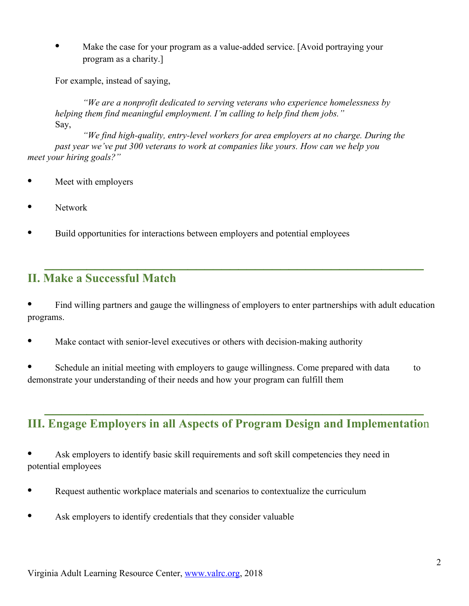**•** Make the case for your program as a value-added service. [Avoid portraying your program as a charity.]

For example, instead of saying,

*"We are a nonprofit dedicated to serving veterans who experience homelessness by helping them find meaningful employment. I'm calling to help find them jobs."* Say,

*"We find high-quality, entry-level workers for area employers at no charge. During the past year we've put 300 veterans to work at companies like yours. How can we help you meet your hiring goals?"*

- **•** Meet with employers
- **•** Network
- Build opportunities for interactions between employers and potential employees

#### **II. Make a Successful Match**

**•** Find willing partners and gauge the willingness of employers to enter partnerships with adult education programs.

**\_\_\_\_\_\_\_\_\_\_\_\_\_\_\_\_\_\_\_\_\_\_\_\_\_\_\_\_\_\_\_\_\_\_\_\_\_\_\_\_\_\_\_\_\_**

• Make contact with senior-level executives or others with decision-making authority

**•** Schedule an initial meeting with employers to gauge willingness. Come prepared with data to demonstrate your understanding of their needs and how your program can fulfill them

#### **III. Engage Employers in all Aspects of Program Design and Implementatio**n

**\_\_\_\_\_\_\_\_\_\_\_\_\_\_\_\_\_\_\_\_\_\_\_\_\_\_\_\_\_\_\_\_\_\_\_\_\_\_\_\_\_\_\_\_\_**

Ask employers to identify basic skill requirements and soft skill competencies they need in potential employees

- Request authentic workplace materials and scenarios to contextualize the curriculum
- **•** Ask employers to identify credentials that they consider valuable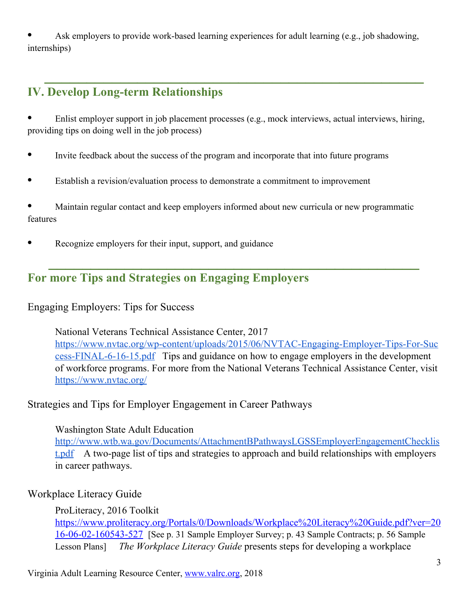**•** Ask employers to provide work-based learning experiences for adult learning (e.g., job shadowing, internships)

# **IV. Develop Long-term Relationships**

• Enlist employer support in job placement processes (e.g., mock interviews, actual interviews, hiring, providing tips on doing well in the job process)

**\_\_\_\_\_\_\_\_\_\_\_\_\_\_\_\_\_\_\_\_\_\_\_\_\_\_\_\_\_\_\_\_\_\_\_\_\_\_\_\_\_\_\_\_\_**

- Invite feedback about the success of the program and incorporate that into future programs
- **•** Establish a revision/evaluation process to demonstrate a commitment to improvement

**•** Maintain regular contact and keep employers informed about new curricula or new programmatic features

**\_\_\_\_\_\_\_\_\_\_\_\_\_\_\_\_\_\_\_\_\_\_\_\_\_\_\_\_\_\_\_\_\_\_\_\_\_\_\_\_\_\_\_\_**

**•** Recognize employers for their input, support, and guidance

### **For more Tips and Strategies on Engaging Employers**

Engaging Employers: Tips for Success

National Veterans Technical Assistance Center, 2017

[https://www.nvtac.org/wp-content/uploads/2015/06/NVTAC-Engaging-Employer-Tips-For-Suc](https://www.nvtac.org/wp-content/uploads/2015/06/NVTAC-Engaging-Employer-Tips-For-Success-FINAL-6-16-15.pdf) [cess-FINAL-6-16-15.pdf](https://www.nvtac.org/wp-content/uploads/2015/06/NVTAC-Engaging-Employer-Tips-For-Success-FINAL-6-16-15.pdf) Tips and guidance on how to engage employers in the development of workforce programs. For more from the National Veterans Technical Assistance Center, visit <https://www.nvtac.org/>

Strategies and Tips for Employer Engagement in Career Pathways

Washington State Adult Education [http://www.wtb.wa.gov/Documents/AttachmentBPathwaysLGSSEmployerEngagementChecklis](http://www.wtb.wa.gov/Documents/AttachmentBPathwaysLGSSEmployerEngagementChecklist.pdf) [t.pdf](http://www.wtb.wa.gov/Documents/AttachmentBPathwaysLGSSEmployerEngagementChecklist.pdf) A two-page list of tips and strategies to approach and build relationships with employers in career pathways.

#### Workplace Literacy Guide

ProLiteracy, 2016 Toolkit

[https://www.proliteracy.org/Portals/0/Downloads/Workplace%20Literacy%20Guide.pdf?ver=20](https://www.proliteracy.org/Portals/0/Downloads/Workplace%20Literacy%20Guide.pdf?ver=2016-06-02-160543-527) [16-06-02-160543-527](https://www.proliteracy.org/Portals/0/Downloads/Workplace%20Literacy%20Guide.pdf?ver=2016-06-02-160543-527) [See p. 31 Sample Employer Survey; p. 43 Sample Contracts; p. 56 Sample Lesson Plans] *The Workplace Literacy Guide* presents steps for developing a workplace